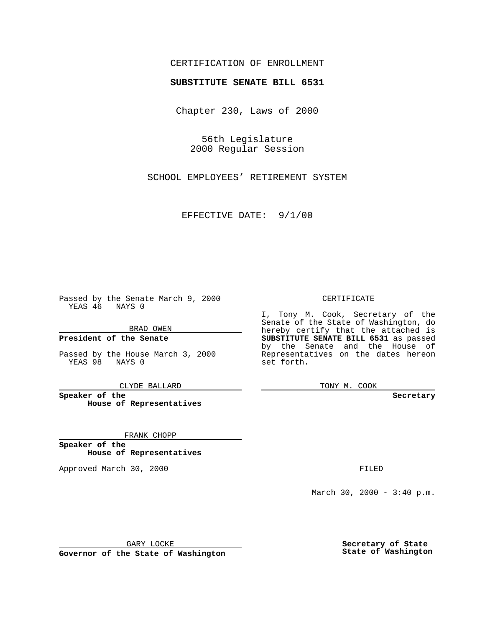## CERTIFICATION OF ENROLLMENT

# **SUBSTITUTE SENATE BILL 6531**

Chapter 230, Laws of 2000

56th Legislature 2000 Regular Session

SCHOOL EMPLOYEES' RETIREMENT SYSTEM

EFFECTIVE DATE: 9/1/00

Passed by the Senate March 9, 2000 YEAS 46 NAYS 0

BRAD OWEN

**President of the Senate**

Passed by the House March 3, 2000 YEAS 98 NAYS 0

CLYDE BALLARD

**Speaker of the House of Representatives**

FRANK CHOPP

**Speaker of the House of Representatives**

Approved March 30, 2000 FILED

### CERTIFICATE

I, Tony M. Cook, Secretary of the Senate of the State of Washington, do hereby certify that the attached is **SUBSTITUTE SENATE BILL 6531** as passed by the Senate and the House of Representatives on the dates hereon set forth.

TONY M. COOK

**Secretary**

March 30, 2000 - 3:40 p.m.

GARY LOCKE

**Governor of the State of Washington**

**Secretary of State State of Washington**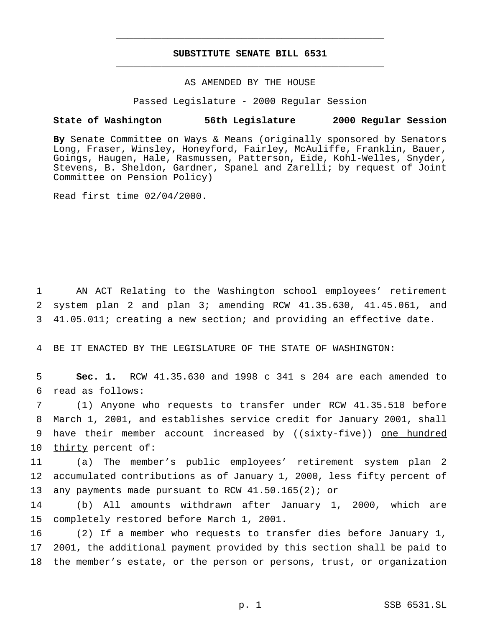## **SUBSTITUTE SENATE BILL 6531** \_\_\_\_\_\_\_\_\_\_\_\_\_\_\_\_\_\_\_\_\_\_\_\_\_\_\_\_\_\_\_\_\_\_\_\_\_\_\_\_\_\_\_\_\_\_\_

\_\_\_\_\_\_\_\_\_\_\_\_\_\_\_\_\_\_\_\_\_\_\_\_\_\_\_\_\_\_\_\_\_\_\_\_\_\_\_\_\_\_\_\_\_\_\_

### AS AMENDED BY THE HOUSE

### Passed Legislature - 2000 Regular Session

### **State of Washington 56th Legislature 2000 Regular Session**

**By** Senate Committee on Ways & Means (originally sponsored by Senators Long, Fraser, Winsley, Honeyford, Fairley, McAuliffe, Franklin, Bauer, Goings, Haugen, Hale, Rasmussen, Patterson, Eide, Kohl-Welles, Snyder, Stevens, B. Sheldon, Gardner, Spanel and Zarelli; by request of Joint Committee on Pension Policy)

Read first time 02/04/2000.

1 AN ACT Relating to the Washington school employees' retirement 2 system plan 2 and plan 3; amending RCW 41.35.630, 41.45.061, and 3 41.05.011; creating a new section; and providing an effective date.

4 BE IT ENACTED BY THE LEGISLATURE OF THE STATE OF WASHINGTON:

5 **Sec. 1.** RCW 41.35.630 and 1998 c 341 s 204 are each amended to 6 read as follows:

7 (1) Anyone who requests to transfer under RCW 41.35.510 before 8 March 1, 2001, and establishes service credit for January 2001, shall 9 have their member account increased by ((sixty-five)) one hundred 10 thirty percent of:

11 (a) The member's public employees' retirement system plan 2 12 accumulated contributions as of January 1, 2000, less fifty percent of 13 any payments made pursuant to RCW 41.50.165(2); or

14 (b) All amounts withdrawn after January 1, 2000, which are 15 completely restored before March 1, 2001.

16 (2) If a member who requests to transfer dies before January 1, 17 2001, the additional payment provided by this section shall be paid to 18 the member's estate, or the person or persons, trust, or organization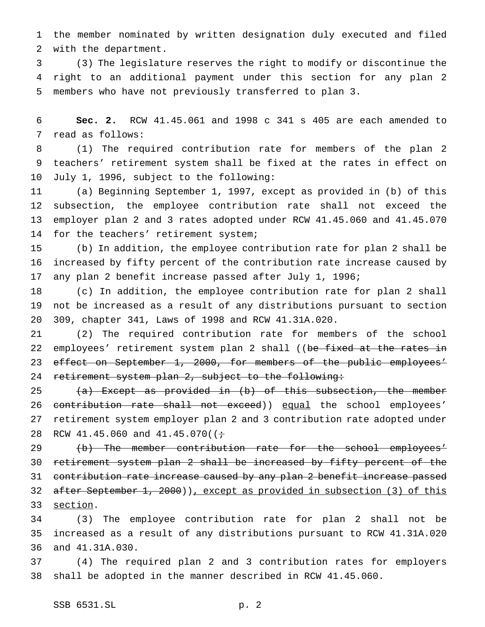the member nominated by written designation duly executed and filed with the department.

 (3) The legislature reserves the right to modify or discontinue the right to an additional payment under this section for any plan 2 members who have not previously transferred to plan 3.

 **Sec. 2.** RCW 41.45.061 and 1998 c 341 s 405 are each amended to read as follows:

 (1) The required contribution rate for members of the plan 2 teachers' retirement system shall be fixed at the rates in effect on July 1, 1996, subject to the following:

 (a) Beginning September 1, 1997, except as provided in (b) of this subsection, the employee contribution rate shall not exceed the employer plan 2 and 3 rates adopted under RCW 41.45.060 and 41.45.070 14 for the teachers' retirement system;

 (b) In addition, the employee contribution rate for plan 2 shall be increased by fifty percent of the contribution rate increase caused by any plan 2 benefit increase passed after July 1, 1996;

 (c) In addition, the employee contribution rate for plan 2 shall not be increased as a result of any distributions pursuant to section 309, chapter 341, Laws of 1998 and RCW 41.31A.020.

 (2) The required contribution rate for members of the school 22 employees' retirement system plan 2 shall ((be fixed at the rates in 23 effect on September 1, 2000, for members of the public employees' 24 retirement system plan 2, subject to the following:

25  $(a)$  Except as provided in (b) of this subsection, the member 26 contribution rate shall not exceed)) equal the school employees' retirement system employer plan 2 and 3 contribution rate adopted under 28 RCW  $41.45.060$  and  $41.45.070$  ( $\div$ 

29 (b) The member contribution rate for the school employees' retirement system plan 2 shall be increased by fifty percent of the 31 contribution rate increase caused by any plan 2 benefit increase passed after September 1, 2000)), except as provided in subsection (3) of this 33 section.

 (3) The employee contribution rate for plan 2 shall not be increased as a result of any distributions pursuant to RCW 41.31A.020 and 41.31A.030.

 (4) The required plan 2 and 3 contribution rates for employers shall be adopted in the manner described in RCW 41.45.060.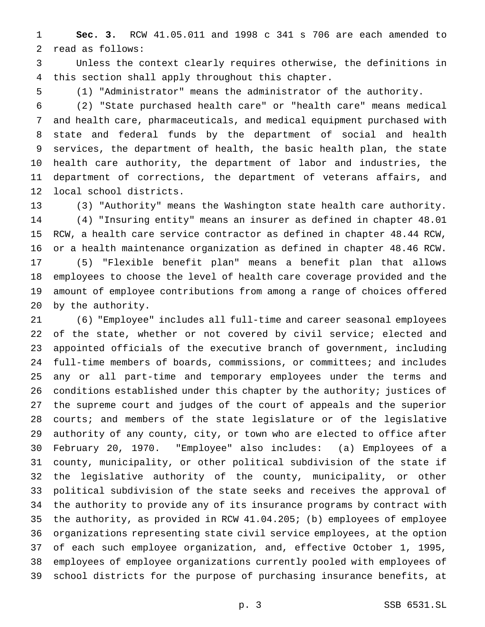**Sec. 3.** RCW 41.05.011 and 1998 c 341 s 706 are each amended to read as follows:

 Unless the context clearly requires otherwise, the definitions in this section shall apply throughout this chapter.

(1) "Administrator" means the administrator of the authority.

 (2) "State purchased health care" or "health care" means medical and health care, pharmaceuticals, and medical equipment purchased with state and federal funds by the department of social and health services, the department of health, the basic health plan, the state health care authority, the department of labor and industries, the department of corrections, the department of veterans affairs, and local school districts.

 (3) "Authority" means the Washington state health care authority. (4) "Insuring entity" means an insurer as defined in chapter 48.01 RCW, a health care service contractor as defined in chapter 48.44 RCW, or a health maintenance organization as defined in chapter 48.46 RCW. (5) "Flexible benefit plan" means a benefit plan that allows employees to choose the level of health care coverage provided and the amount of employee contributions from among a range of choices offered by the authority.

 (6) "Employee" includes all full-time and career seasonal employees of the state, whether or not covered by civil service; elected and appointed officials of the executive branch of government, including full-time members of boards, commissions, or committees; and includes any or all part-time and temporary employees under the terms and conditions established under this chapter by the authority; justices of the supreme court and judges of the court of appeals and the superior courts; and members of the state legislature or of the legislative authority of any county, city, or town who are elected to office after February 20, 1970. "Employee" also includes: (a) Employees of a county, municipality, or other political subdivision of the state if the legislative authority of the county, municipality, or other political subdivision of the state seeks and receives the approval of the authority to provide any of its insurance programs by contract with the authority, as provided in RCW 41.04.205; (b) employees of employee organizations representing state civil service employees, at the option of each such employee organization, and, effective October 1, 1995, employees of employee organizations currently pooled with employees of school districts for the purpose of purchasing insurance benefits, at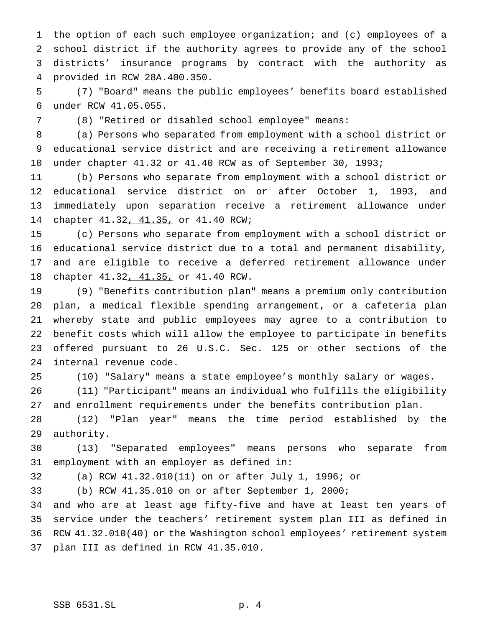the option of each such employee organization; and (c) employees of a school district if the authority agrees to provide any of the school districts' insurance programs by contract with the authority as provided in RCW 28A.400.350.

 (7) "Board" means the public employees' benefits board established under RCW 41.05.055.

(8) "Retired or disabled school employee" means:

 (a) Persons who separated from employment with a school district or educational service district and are receiving a retirement allowance under chapter 41.32 or 41.40 RCW as of September 30, 1993;

 (b) Persons who separate from employment with a school district or educational service district on or after October 1, 1993, and immediately upon separation receive a retirement allowance under chapter 41.32, 41.35, or 41.40 RCW;

 (c) Persons who separate from employment with a school district or educational service district due to a total and permanent disability, and are eligible to receive a deferred retirement allowance under chapter 41.32, 41.35, or 41.40 RCW.

 (9) "Benefits contribution plan" means a premium only contribution plan, a medical flexible spending arrangement, or a cafeteria plan whereby state and public employees may agree to a contribution to benefit costs which will allow the employee to participate in benefits offered pursuant to 26 U.S.C. Sec. 125 or other sections of the internal revenue code.

(10) "Salary" means a state employee's monthly salary or wages.

 (11) "Participant" means an individual who fulfills the eligibility and enrollment requirements under the benefits contribution plan.

 (12) "Plan year" means the time period established by the authority.

 (13) "Separated employees" means persons who separate from employment with an employer as defined in:

(a) RCW 41.32.010(11) on or after July 1, 1996; or

(b) RCW 41.35.010 on or after September 1, 2000;

 and who are at least age fifty-five and have at least ten years of service under the teachers' retirement system plan III as defined in RCW 41.32.010(40) or the Washington school employees' retirement system plan III as defined in RCW 41.35.010.